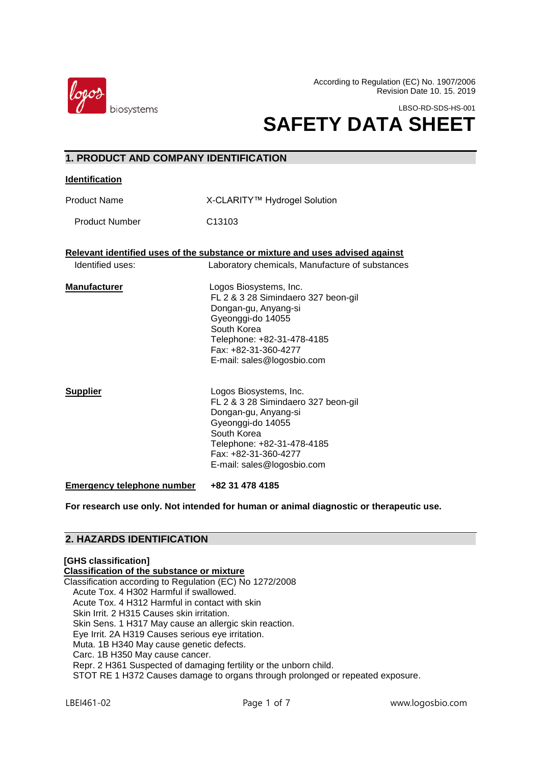

According to Regulation (EC) No. 1907/2006 Revision Date 10. 15. 2019

LBSO-RD-SDS-HS-001

# **SAFETY DATA SHEET**

| <b>1. PRODUCT AND COMPANY IDENTIFICATION</b>                                  |                                                                                                                                                                                                               |  |  |  |
|-------------------------------------------------------------------------------|---------------------------------------------------------------------------------------------------------------------------------------------------------------------------------------------------------------|--|--|--|
| <b>Identification</b>                                                         |                                                                                                                                                                                                               |  |  |  |
| <b>Product Name</b>                                                           | X-CLARITY™ Hydrogel Solution                                                                                                                                                                                  |  |  |  |
| <b>Product Number</b>                                                         | C13103                                                                                                                                                                                                        |  |  |  |
| Relevant identified uses of the substance or mixture and uses advised against |                                                                                                                                                                                                               |  |  |  |
| Identified uses:                                                              | Laboratory chemicals, Manufacture of substances                                                                                                                                                               |  |  |  |
| <b>Manufacturer</b>                                                           | Logos Biosystems, Inc.<br>FL 2 & 3 28 Simindaero 327 beon-gil<br>Dongan-gu, Anyang-si<br>Gyeonggi-do 14055<br>South Korea<br>Telephone: +82-31-478-4185<br>Fax: +82-31-360-4277<br>E-mail: sales@logosbio.com |  |  |  |
| <b>Supplier</b>                                                               | Logos Biosystems, Inc.<br>FL 2 & 3 28 Simindaero 327 beon-gil<br>Dongan-gu, Anyang-si<br>Gyeonggi-do 14055<br>South Korea<br>Telephone: +82-31-478-4185<br>Fax: +82-31-360-4277<br>E-mail: sales@logosbio.com |  |  |  |
| <b>Emergency telephone number</b>                                             | +82 31 478 4185                                                                                                                                                                                               |  |  |  |

**For research use only. Not intended for human or animal diagnostic or therapeutic use.**

## **2. HAZARDS IDENTIFICATION**

#### **[GHS classification] Classification of the substance or mixture** Classification according to Regulation (EC) No 1272/2008 Acute Tox. 4 H302 Harmful if swallowed. Acute Tox. 4 H312 Harmful in contact with skin Skin Irrit. 2 H315 Causes skin irritation. Skin Sens. 1 H317 May cause an allergic skin reaction. Eye Irrit. 2A H319 Causes serious eye irritation. Muta. 1B H340 May cause genetic defects. Carc. 1B H350 May cause cancer. Repr. 2 H361 Suspected of damaging fertility or the unborn child. STOT RE 1 H372 Causes damage to organs through prolonged or repeated exposure.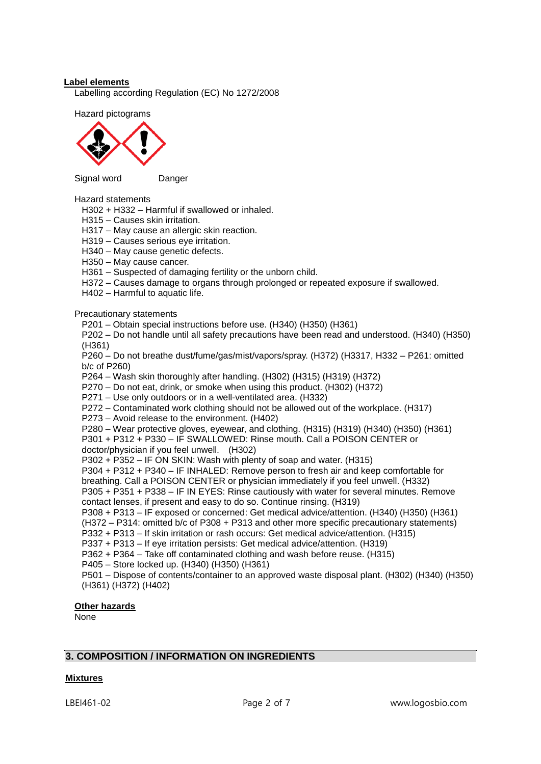#### **Label elements**

Labelling according Regulation (EC) No 1272/2008

Hazard pictograms



Signal wordDanger

#### Hazard statements

H302 + H332 – Harmful if swallowed or inhaled.

H315 – Causes skin irritation.

H317 – May cause an allergic skin reaction.

H319 – Causes serious eye irritation.

H340 – May cause genetic defects.

H350 – May cause cancer.

H361 – Suspected of damaging fertility or the unborn child.

H372 – Causes damage to organs through prolonged or repeated exposure if swallowed.

H402 – Harmful to aquatic life.

Precautionary statements

P201 – Obtain special instructions before use. (H340) (H350) (H361)

P202 – Do not handle until all safety precautions have been read and understood. (H340) (H350) (H361)

P260 – Do not breathe dust/fume/gas/mist/vapors/spray. (H372) (H3317, H332 – P261: omitted b/c of P260)

P264 – Wash skin thoroughly after handling. (H302) (H315) (H319) (H372)

P270 – Do not eat, drink, or smoke when using this product. (H302) (H372)

P271 – Use only outdoors or in a well-ventilated area. (H332)

P272 – Contaminated work clothing should not be allowed out of the workplace. (H317)

P273 – Avoid release to the environment. (H402)

P280 – Wear protective gloves, eyewear, and clothing. (H315) (H319) (H340) (H350) (H361)

P301 + P312 + P330 – IF SWALLOWED: Rinse mouth. Call a POISON CENTER or

doctor/physician if you feel unwell. (H302)

P302 + P352 – IF ON SKIN: Wash with plenty of soap and water. (H315)

P304 + P312 + P340 – IF INHALED: Remove person to fresh air and keep comfortable for

breathing. Call a POISON CENTER or physician immediately if you feel unwell. (H332)

P305 + P351 + P338 – IF IN EYES: Rinse cautiously with water for several minutes. Remove contact lenses, if present and easy to do so. Continue rinsing. (H319)

P308 + P313 – IF exposed or concerned: Get medical advice/attention. (H340) (H350) (H361) (H372 – P314: omitted b/c of P308 + P313 and other more specific precautionary statements) P332 + P313 – If skin irritation or rash occurs: Get medical advice/attention. (H315)

P337 + P313 – If eye irritation persists: Get medical advice/attention. (H319)

P362 + P364 – Take off contaminated clothing and wash before reuse. (H315)

P405 – Store locked up. (H340) (H350) (H361)

P501 – Dispose of contents/container to an approved waste disposal plant. (H302) (H340) (H350) (H361) (H372) (H402)

**Other hazards**

None

## **3. COMPOSITION / INFORMATION ON INGREDIENTS**

#### **Mixtures**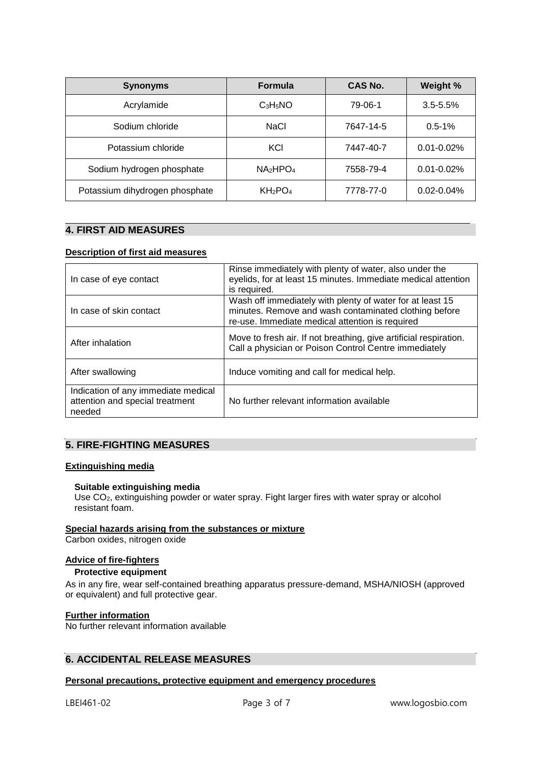| <b>Synonyms</b>                | <b>Formula</b>                  | CAS No.   | Weight %        |
|--------------------------------|---------------------------------|-----------|-----------------|
| Acrylamide                     | $C_3H_5NO$                      | 79-06-1   | $3.5 - 5.5%$    |
| Sodium chloride                | NaCl                            | 7647-14-5 | $0.5 - 1%$      |
| Potassium chloride             | KCI                             | 7447-40-7 | $0.01 - 0.02\%$ |
| Sodium hydrogen phosphate      | $NA_2HPO_4$                     | 7558-79-4 | $0.01 - 0.02\%$ |
| Potassium dihydrogen phosphate | KH <sub>2</sub> PO <sub>4</sub> | 7778-77-0 | $0.02 - 0.04%$  |

#### $\overline{a}$ **4. FIRST AID MEASURES**

#### **Description of first aid measures**

| In case of eye contact                                                           | Rinse immediately with plenty of water, also under the<br>eyelids, for at least 15 minutes. Immediate medical attention<br>is required.                               |
|----------------------------------------------------------------------------------|-----------------------------------------------------------------------------------------------------------------------------------------------------------------------|
| In case of skin contact                                                          | Wash off immediately with plenty of water for at least 15<br>minutes. Remove and wash contaminated clothing before<br>re-use. Immediate medical attention is required |
| After inhalation                                                                 | Move to fresh air. If not breathing, give artificial respiration.<br>Call a physician or Poison Control Centre immediately                                            |
| After swallowing                                                                 | Induce vomiting and call for medical help.                                                                                                                            |
| Indication of any immediate medical<br>attention and special treatment<br>needed | No further relevant information available                                                                                                                             |

## **5. FIRE-FIGHTING MEASURES**

### **Extinguishing media**

#### **Suitable extinguishing media**

Use CO2, extinguishing powder or water spray. Fight larger fires with water spray or alcohol resistant foam.

## **Special hazards arising from the substances or mixture**

Carbon oxides, nitrogen oxide

### **Advice of fire-fighters**

## **Protective equipment**

As in any fire, wear self-contained breathing apparatus pressure-demand, MSHA/NIOSH (approved or equivalent) and full protective gear.

## **Further information**

No further relevant information available

## **6. ACCIDENTAL RELEASE MEASURES**

#### **Personal precautions, protective equipment and emergency procedures**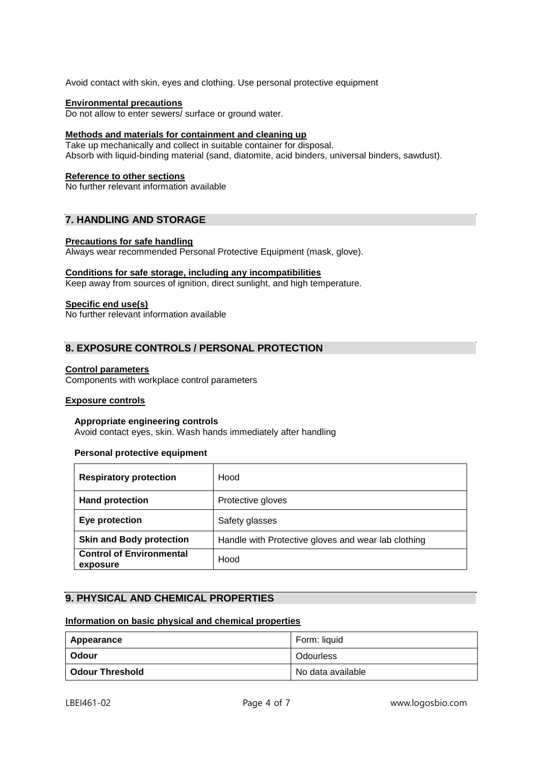Avoid contact with skin, eyes and clothing. Use personal protective equipment

#### **Environmental precautions**

Do not allow to enter sewers/ surface or ground water.

#### **Methods and materials for containment and cleaning up**

Take up mechanically and collect in suitable container for disposal. Absorb with liquid-binding material (sand, diatomite, acid binders, universal binders, sawdust).

#### **Reference to other sections**

No further relevant information available

## **7. HANDLING AND STORAGE**

#### **Precautions for safe handling**

Always wear recommended Personal Protective Equipment (mask, glove).

#### **Conditions for safe storage, including any incompatibilities**

Keep away from sources of ignition, direct sunlight, and high temperature.

#### **Specific end use(s)**

No further relevant information available

## **8. EXPOSURE CONTROLS / PERSONAL PROTECTION**

#### **Control parameters**

Components with workplace control parameters

#### **Exposure controls**

#### **Appropriate engineering controls**

Avoid contact eyes, skin. Wash hands immediately after handling

#### **Personal protective equipment**

| <b>Respiratory protection</b>               | Hood                                                |
|---------------------------------------------|-----------------------------------------------------|
| <b>Hand protection</b>                      | Protective gloves                                   |
| Eye protection                              | Safety glasses                                      |
| <b>Skin and Body protection</b>             | Handle with Protective gloves and wear lab clothing |
| <b>Control of Environmental</b><br>exposure | Hood                                                |

## **9. PHYSICAL AND CHEMICAL PROPERTIES**

#### **Information on basic physical and chemical properties**

| Appearance      | Form: liquid      |
|-----------------|-------------------|
| Odour           | Odourless         |
| Odour Threshold | No data available |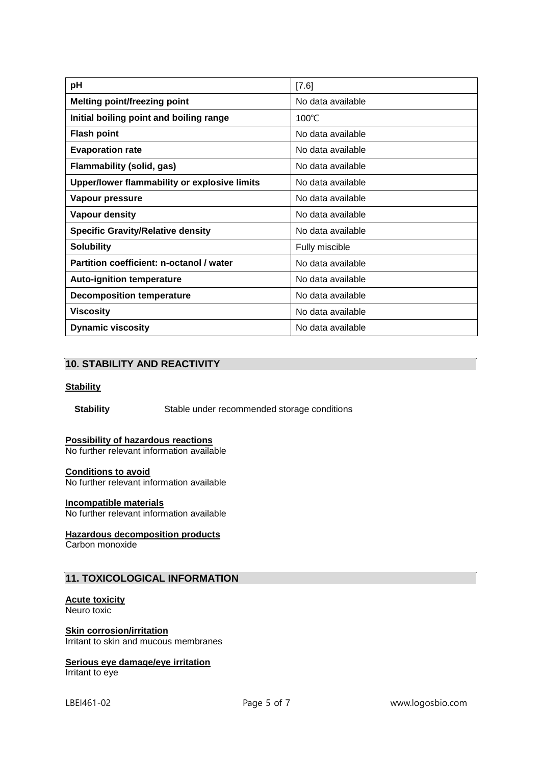| pH                                           | [7.6]             |
|----------------------------------------------|-------------------|
| <b>Melting point/freezing point</b>          | No data available |
| Initial boiling point and boiling range      | 100 $\degree$ C   |
| <b>Flash point</b>                           | No data available |
| <b>Evaporation rate</b>                      | No data available |
| <b>Flammability (solid, gas)</b>             | No data available |
| Upper/lower flammability or explosive limits | No data available |
| Vapour pressure                              | No data available |
| <b>Vapour density</b>                        | No data available |
| <b>Specific Gravity/Relative density</b>     | No data available |
| <b>Solubility</b>                            | Fully miscible    |
| Partition coefficient: n-octanol / water     | No data available |
| <b>Auto-ignition temperature</b>             | No data available |
| <b>Decomposition temperature</b>             | No data available |
| <b>Viscosity</b>                             | No data available |
| <b>Dynamic viscosity</b>                     | No data available |

## **10. STABILITY AND REACTIVITY**

#### **Stability**

**Stability Stable under recommended storage conditions** 

## **Possibility of hazardous reactions**

No further relevant information available

#### **Conditions to avoid**

No further relevant information available

## **Incompatible materials**

No further relevant information available

#### **Hazardous decomposition products**

Carbon monoxide

## **11. TOXICOLOGICAL INFORMATION**

## **Acute toxicity**

Neuro toxic

## **Skin corrosion/irritation**

Irritant to skin and mucous membranes

## **Serious eye damage/eye irritation**

Irritant to eye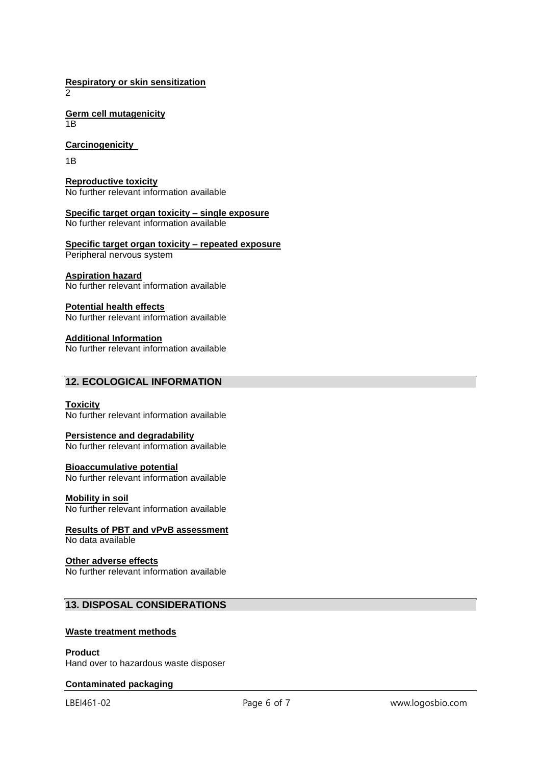**Respiratory or skin sensitization**  $\mathcal{D}$ 

**Germ cell mutagenicity** 1B

**Carcinogenicity** 

1B

**Reproductive toxicity** No further relevant information available

**Specific target organ toxicity – single exposure** No further relevant information available

**Specific target organ toxicity – repeated exposure** Peripheral nervous system

#### **Aspiration hazard**

No further relevant information available

**Potential health effects**

No further relevant information available

**Additional Information**

No further relevant information available

## **12. ECOLOGICAL INFORMATION**

#### **Toxicity**

No further relevant information available

#### **Persistence and degradability**

No further relevant information available

#### **Bioaccumulative potential**

No further relevant information available

#### **Mobility in soil**

No further relevant information available

### **Results of PBT and vPvB assessment**

No data available

#### **Other adverse effects**

No further relevant information available

## **13. DISPOSAL CONSIDERATIONS**

#### **Waste treatment methods**

**Product** Hand over to hazardous waste disposer

## **Contaminated packaging**